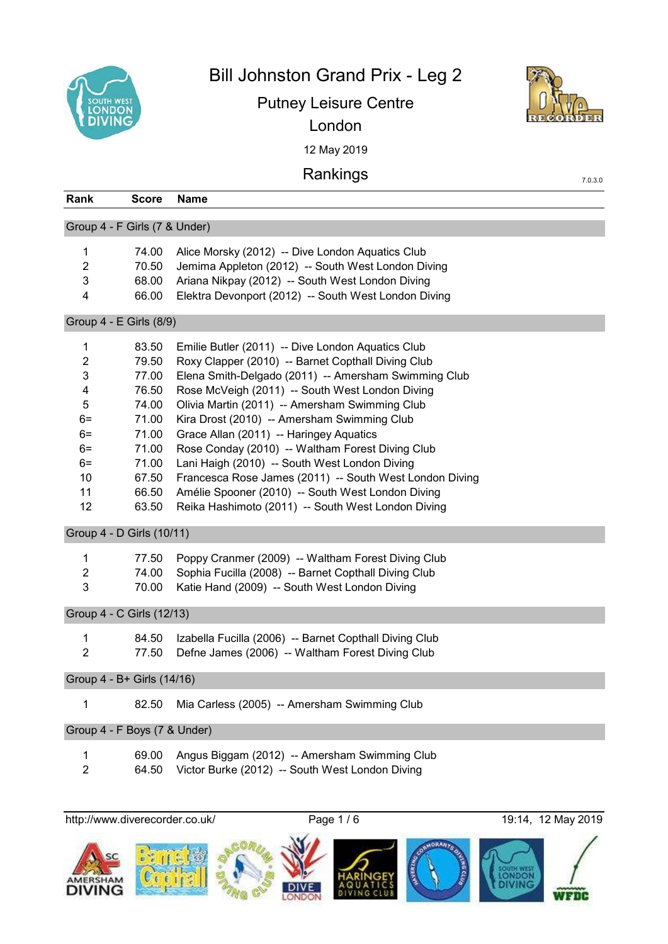

Bill Johnston Grand Prix - Leg 2

Putney Leisure Centre



7.0.3.0

12 May 2019 London

Rankings

| Rank                                                                                 | <b>Score</b>                                                                                             | <b>Name</b>                                                                                                                                                                                                                                                                                                                                                                                                                                                                                                                                                                                                                               |  |  |
|--------------------------------------------------------------------------------------|----------------------------------------------------------------------------------------------------------|-------------------------------------------------------------------------------------------------------------------------------------------------------------------------------------------------------------------------------------------------------------------------------------------------------------------------------------------------------------------------------------------------------------------------------------------------------------------------------------------------------------------------------------------------------------------------------------------------------------------------------------------|--|--|
|                                                                                      | Group 4 - F Girls (7 & Under)                                                                            |                                                                                                                                                                                                                                                                                                                                                                                                                                                                                                                                                                                                                                           |  |  |
| 1<br>$\overline{2}$<br>3<br>$\overline{4}$                                           | 74.00<br>70.50<br>68.00<br>66.00                                                                         | Alice Morsky (2012) -- Dive London Aquatics Club<br>Jemima Appleton (2012) -- South West London Diving<br>Ariana Nikpay (2012) -- South West London Diving<br>Elektra Devonport (2012) -- South West London Diving                                                                                                                                                                                                                                                                                                                                                                                                                        |  |  |
|                                                                                      | Group 4 - E Girls (8/9)                                                                                  |                                                                                                                                                                                                                                                                                                                                                                                                                                                                                                                                                                                                                                           |  |  |
| 1<br>$\overline{c}$<br>3<br>4<br>5<br>$6=$<br>$6=$<br>$6=$<br>$6=$<br>10<br>11<br>12 | 83.50<br>79.50<br>77.00<br>76.50<br>74.00<br>71.00<br>71.00<br>71.00<br>71.00<br>67.50<br>66.50<br>63.50 | Emilie Butler (2011) -- Dive London Aquatics Club<br>Roxy Clapper (2010) -- Barnet Copthall Diving Club<br>Elena Smith-Delgado (2011) -- Amersham Swimming Club<br>Rose McVeigh (2011) -- South West London Diving<br>Olivia Martin (2011) -- Amersham Swimming Club<br>Kira Drost (2010) -- Amersham Swimming Club<br>Grace Allan (2011) -- Haringey Aquatics<br>Rose Conday (2010) -- Waltham Forest Diving Club<br>Lani Haigh (2010) -- South West London Diving<br>Francesca Rose James (2011) -- South West London Diving<br>Amélie Spooner (2010) -- South West London Diving<br>Reika Hashimoto (2011) -- South West London Diving |  |  |
|                                                                                      | Group 4 - D Girls (10/11)                                                                                |                                                                                                                                                                                                                                                                                                                                                                                                                                                                                                                                                                                                                                           |  |  |
| 1<br>$\overline{2}$<br>3                                                             | 77.50<br>74.00<br>70.00                                                                                  | Poppy Cranmer (2009) -- Waltham Forest Diving Club<br>Sophia Fucilla (2008) -- Barnet Copthall Diving Club<br>Katie Hand (2009) -- South West London Diving                                                                                                                                                                                                                                                                                                                                                                                                                                                                               |  |  |
| Group 4 - C Girls (12/13)                                                            |                                                                                                          |                                                                                                                                                                                                                                                                                                                                                                                                                                                                                                                                                                                                                                           |  |  |
| 1<br>$\overline{2}$                                                                  | 84.50<br>77.50                                                                                           | Izabella Fucilla (2006) -- Barnet Copthall Diving Club<br>Defne James (2006) -- Waltham Forest Diving Club                                                                                                                                                                                                                                                                                                                                                                                                                                                                                                                                |  |  |
|                                                                                      | Group 4 - B+ Girls (14/16)                                                                               |                                                                                                                                                                                                                                                                                                                                                                                                                                                                                                                                                                                                                                           |  |  |
| 1                                                                                    | 82.50                                                                                                    | Mia Carless (2005) -- Amersham Swimming Club                                                                                                                                                                                                                                                                                                                                                                                                                                                                                                                                                                                              |  |  |
|                                                                                      | Group 4 - F Boys (7 & Under)                                                                             |                                                                                                                                                                                                                                                                                                                                                                                                                                                                                                                                                                                                                                           |  |  |
| 1<br>$\overline{2}$                                                                  | 69.00<br>64.50                                                                                           | Angus Biggam (2012) -- Amersham Swimming Club<br>Victor Burke (2012) -- South West London Diving                                                                                                                                                                                                                                                                                                                                                                                                                                                                                                                                          |  |  |

http://www.diverecorder.co.uk/ Page 1 / 6 19:14, 12 May 2019

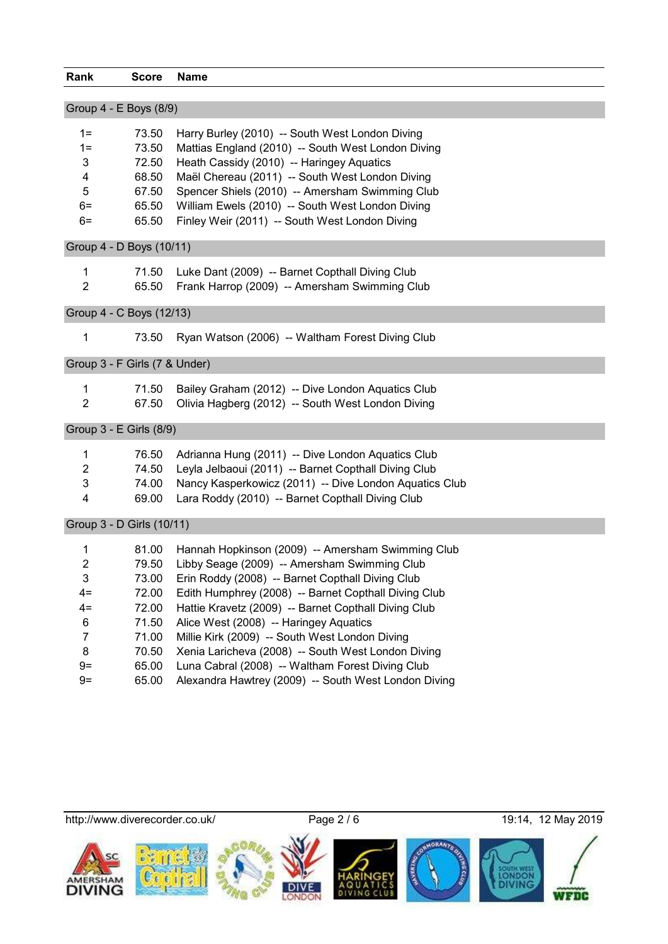| Rank                          | <b>Score</b> | <b>Name</b>                                            |
|-------------------------------|--------------|--------------------------------------------------------|
|                               |              |                                                        |
| Group 4 - E Boys (8/9)        |              |                                                        |
| $1 =$                         | 73.50        | Harry Burley (2010) -- South West London Diving        |
| $1 =$                         | 73.50        | Mattias England (2010) -- South West London Diving     |
| 3                             | 72.50        | Heath Cassidy (2010) -- Haringey Aquatics              |
| 4                             | 68.50        | Maël Chereau (2011) -- South West London Diving        |
| 5                             | 67.50        | Spencer Shiels (2010) -- Amersham Swimming Club        |
| $6=$                          | 65.50        | William Ewels (2010) -- South West London Diving       |
| $6=$                          | 65.50        | Finley Weir (2011) -- South West London Diving         |
| Group 4 - D Boys (10/11)      |              |                                                        |
| 1                             | 71.50        | Luke Dant (2009) -- Barnet Copthall Diving Club        |
| $\overline{2}$                | 65.50        | Frank Harrop (2009) -- Amersham Swimming Club          |
| Group 4 - C Boys (12/13)      |              |                                                        |
| 1                             | 73.50        | Ryan Watson (2006) -- Waltham Forest Diving Club       |
|                               |              |                                                        |
| Group 3 - F Girls (7 & Under) |              |                                                        |
| 1                             | 71.50        | Bailey Graham (2012) -- Dive London Aquatics Club      |
| $\overline{2}$                | 67.50        | Olivia Hagberg (2012) -- South West London Diving      |
| Group 3 - E Girls (8/9)       |              |                                                        |
| 1                             | 76.50        | Adrianna Hung (2011) -- Dive London Aquatics Club      |
| 2                             | 74.50        | Leyla Jelbaoui (2011) -- Barnet Copthall Diving Club   |
| 3                             | 74.00        | Nancy Kasperkowicz (2011) -- Dive London Aquatics Club |
| 4                             | 69.00        | Lara Roddy (2010) -- Barnet Copthall Diving Club       |
| Group 3 - D Girls (10/11)     |              |                                                        |
| 1                             | 81.00        | Hannah Hopkinson (2009) -- Amersham Swimming Club      |
| 2                             | 79.50        | Libby Seage (2009) -- Amersham Swimming Club           |
| 3                             | 73.00        | Erin Roddy (2008) -- Barnet Copthall Diving Club       |
| $4=$                          | 72.00        | Edith Humphrey (2008) -- Barnet Copthall Diving Club   |
| $4=$                          | 72.00        | Hattie Kravetz (2009) -- Barnet Copthall Diving Club   |
| 6                             | 71.50        | Alice West (2008) -- Haringey Aquatics                 |
| $\overline{7}$                | 71.00        | Millie Kirk (2009) -- South West London Diving         |
| 8                             | 70.50        | Xenia Laricheva (2008) -- South West London Diving     |
| $9=$                          | 65.00        | Luna Cabral (2008) -- Waltham Forest Diving Club       |
| $9=$                          | 65.00        | Alexandra Hawtrey (2009) -- South West London Diving   |

http://www.diverecorder.co.uk/ Page 2 / 6 19:14, 12 May 2019



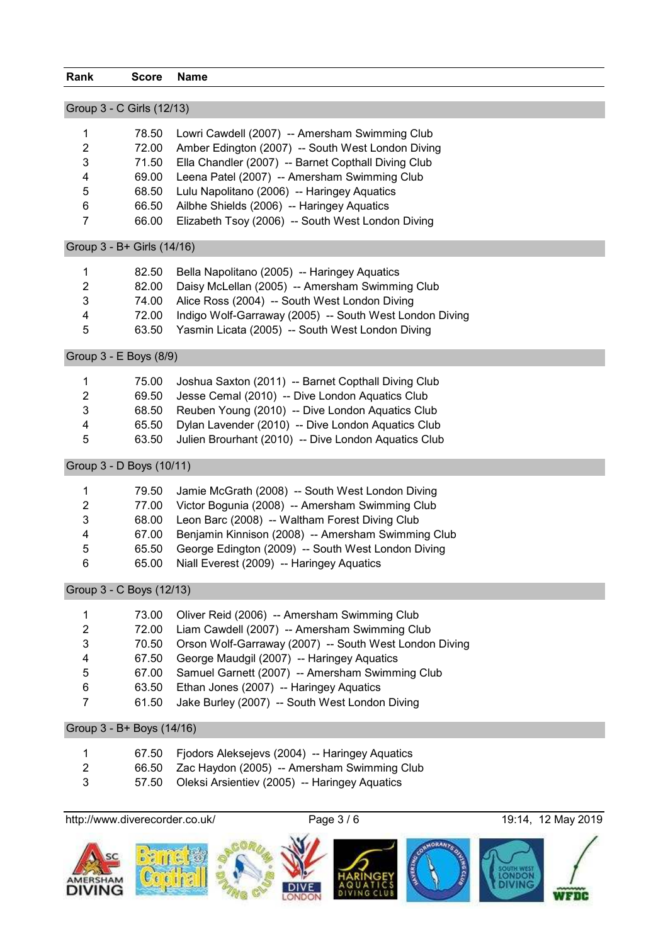| Rank                       | <b>Score</b>   | <b>Name</b>                                                                                          |  |
|----------------------------|----------------|------------------------------------------------------------------------------------------------------|--|
|                            |                |                                                                                                      |  |
| Group 3 - C Girls (12/13)  |                |                                                                                                      |  |
| 1                          | 78.50          | Lowri Cawdell (2007) -- Amersham Swimming Club                                                       |  |
| $\overline{2}$             | 72.00          | Amber Edington (2007) -- South West London Diving                                                    |  |
| 3                          | 71.50          | Ella Chandler (2007) -- Barnet Copthall Diving Club                                                  |  |
| 4                          | 69.00          | Leena Patel (2007) -- Amersham Swimming Club                                                         |  |
| 5                          | 68.50          | Lulu Napolitano (2006) -- Haringey Aquatics                                                          |  |
| 6                          | 66.50          | Ailbhe Shields (2006) -- Haringey Aquatics                                                           |  |
| $\overline{7}$             | 66.00          | Elizabeth Tsoy (2006) -- South West London Diving                                                    |  |
| Group 3 - B+ Girls (14/16) |                |                                                                                                      |  |
| 1                          | 82.50          | Bella Napolitano (2005) -- Haringey Aquatics                                                         |  |
| $\overline{c}$             | 82.00          | Daisy McLellan (2005) -- Amersham Swimming Club                                                      |  |
| $\ensuremath{\mathsf{3}}$  | 74.00          | Alice Ross (2004) -- South West London Diving                                                        |  |
| $\overline{\mathbf{4}}$    | 72.00          | Indigo Wolf-Garraway (2005) -- South West London Diving                                              |  |
| 5                          | 63.50          | Yasmin Licata (2005) -- South West London Diving                                                     |  |
| Group 3 - E Boys (8/9)     |                |                                                                                                      |  |
| 1                          | 75.00          | Joshua Saxton (2011) -- Barnet Copthall Diving Club                                                  |  |
| $\overline{c}$             | 69.50          | Jesse Cemal (2010) -- Dive London Aquatics Club                                                      |  |
| $\ensuremath{\mathsf{3}}$  | 68.50          | Reuben Young (2010) -- Dive London Aquatics Club                                                     |  |
| 4                          | 65.50          | Dylan Lavender (2010) -- Dive London Aquatics Club                                                   |  |
| 5                          | 63.50          | Julien Brourhant (2010) -- Dive London Aquatics Club                                                 |  |
| Group 3 - D Boys (10/11)   |                |                                                                                                      |  |
| 1                          | 79.50          | Jamie McGrath (2008) -- South West London Diving                                                     |  |
| $\overline{2}$             | 77.00          | Victor Bogunia (2008) -- Amersham Swimming Club                                                      |  |
| 3                          | 68.00          | Leon Barc (2008) -- Waltham Forest Diving Club                                                       |  |
| 4                          | 67.00          | Benjamin Kinnison (2008) -- Amersham Swimming Club                                                   |  |
| 5                          | 65.50          | George Edington (2009) -- South West London Diving                                                   |  |
| 6                          | 65.00          | Niall Everest (2009) -- Haringey Aquatics                                                            |  |
| Group 3 - C Boys (12/13)   |                |                                                                                                      |  |
|                            |                |                                                                                                      |  |
| 1                          | 73.00          | Oliver Reid (2006) -- Amersham Swimming Club                                                         |  |
| $\overline{2}$             | 72.00          | Liam Cawdell (2007) -- Amersham Swimming Club                                                        |  |
| 3                          | 70.50          | Orson Wolf-Garraway (2007) -- South West London Diving<br>George Maudgil (2007) -- Haringey Aquatics |  |
| 4                          | 67.50          |                                                                                                      |  |
| 5<br>6                     | 67.00          | Samuel Garnett (2007) -- Amersham Swimming Club                                                      |  |
| $\overline{7}$             | 63.50<br>61.50 | Ethan Jones (2007) -- Haringey Aquatics<br>Jake Burley (2007) -- South West London Diving            |  |
|                            |                |                                                                                                      |  |
| Group 3 - B+ Boys (14/16)  |                |                                                                                                      |  |
| 1                          | 67.50          | Fjodors Aleksejevs (2004) -- Haringey Aquatics                                                       |  |
| $\overline{2}$             | 66.50          | Zac Haydon (2005) -- Amersham Swimming Club                                                          |  |
| 3                          | 57.50          | Oleksi Arsientiev (2005) -- Haringey Aquatics                                                        |  |

http://www.diverecorder.co.uk/ Page 3 / 6 19:14, 12 May 2019

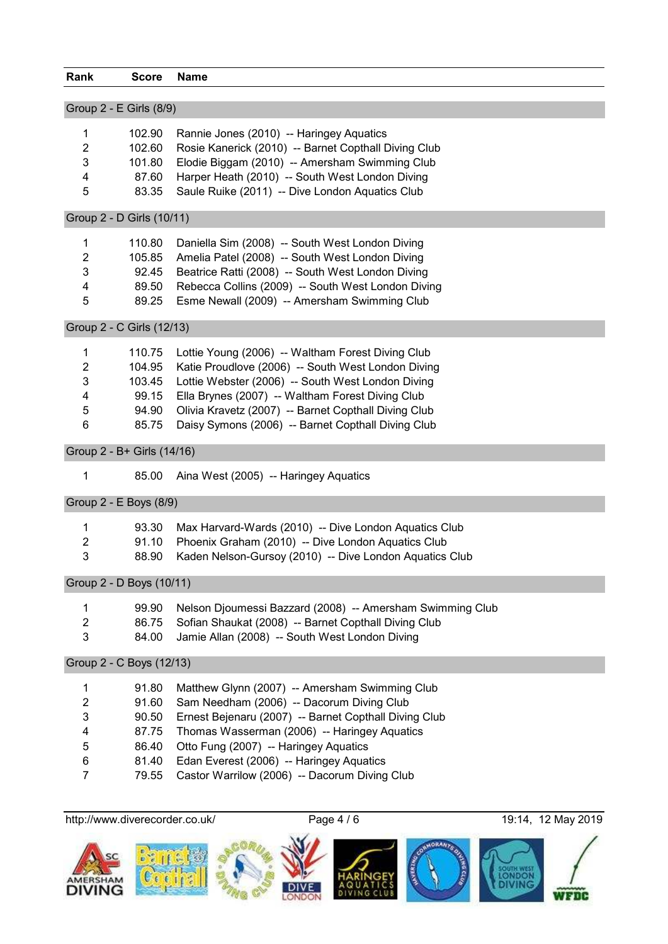| Rank | <b>Score</b>              | Name                                                 |
|------|---------------------------|------------------------------------------------------|
|      |                           |                                                      |
|      | Group 2 - E Girls (8/9)   |                                                      |
| 1    | 102.90                    | Rannie Jones (2010) -- Haringey Aquatics             |
| 2    | 102.60                    | Rosie Kanerick (2010) -- Barnet Copthall Diving Club |
| 3    | 101.80                    | Elodie Biggam (2010) -- Amersham Swimming Club       |
| 4    | 87.60                     | Harper Heath (2010) -- South West London Diving      |
| 5    | 83.35                     | Saule Ruike (2011) -- Dive London Aquatics Club      |
|      | Group 2 - D Girls (10/11) |                                                      |
| 1    | 110.80                    | Daniella Sim (2008) -- South West London Diving      |
| 2    | 105.85                    | Amelia Patel (2008) -- South West London Diving      |
| 3    | 92.45                     | Beatrice Ratti (2008) -- South West London Diving    |
| 4    | 89.50                     | Rebecca Collins (2009) -- South West London Diving   |
| 5    | 89.25                     | Esme Newall (2009) -- Amersham Swimming Club         |

Group 2 - C Girls (12/13)

| 1 |       | 110.75 Lottie Young (2006) -- Waltham Forest Diving Club  |
|---|-------|-----------------------------------------------------------|
| 2 |       | 104.95 Katie Proudlove (2006) -- South West London Diving |
| 3 |       | 103.45 Lottie Webster (2006) -- South West London Diving  |
| 4 |       | 99.15 Ella Brynes (2007) -- Waltham Forest Diving Club    |
| 5 | 94.90 | Olivia Kravetz (2007) -- Barnet Copthall Diving Club      |
| 6 | 85.75 | Daisy Symons (2006) -- Barnet Copthall Diving Club        |
|   |       |                                                           |

Group 2 - B+ Girls (14/16)

85.00 Aina West (2005) -- Haringey Aquatics

Group 2 - E Boys (8/9)

|              | 93.30 | Max Harvard-Wards (2010) -- Dive London Aquatics Club         |
|--------------|-------|---------------------------------------------------------------|
| - 2          |       | 91.10 Phoenix Graham (2010) -- Dive London Aquatics Club      |
| $\mathbf{3}$ |       | 88.90 Kaden Nelson-Gursoy (2010) -- Dive London Aquatics Club |
|              |       |                                                               |

Group 2 - D Boys (10/11)

|   | 99.90 Nelson Djoumessi Bazzard (2008) -- Amersham Swimming Club |
|---|-----------------------------------------------------------------|
| 2 | 86.75 Sofian Shaukat (2008) -- Barnet Copthall Diving Club      |
| 3 | 84.00 Jamie Allan (2008) -- South West London Diving            |

Group 2 - C Boys (12/13)

|   |       | 91.80 Matthew Glynn (2007) -- Amersham Swimming Club  |
|---|-------|-------------------------------------------------------|
| 2 |       | 91.60 Sam Needham (2006) -- Dacorum Diving Club       |
| 3 | 90.50 | Ernest Bejenaru (2007) -- Barnet Copthall Diving Club |
| 4 |       | 87.75 Thomas Wasserman (2006) -- Haringey Aquatics    |
| 5 | 86.40 | Otto Fung (2007) -- Haringey Aquatics                 |
| 6 | 81.40 | Edan Everest (2006) -- Haringey Aquatics              |
|   | 79.55 | Castor Warrilow (2006) -- Dacorum Diving Club         |
|   |       |                                                       |

http://www.diverecorder.co.uk/ Page 4 / 6 19:14, 12 May 2019

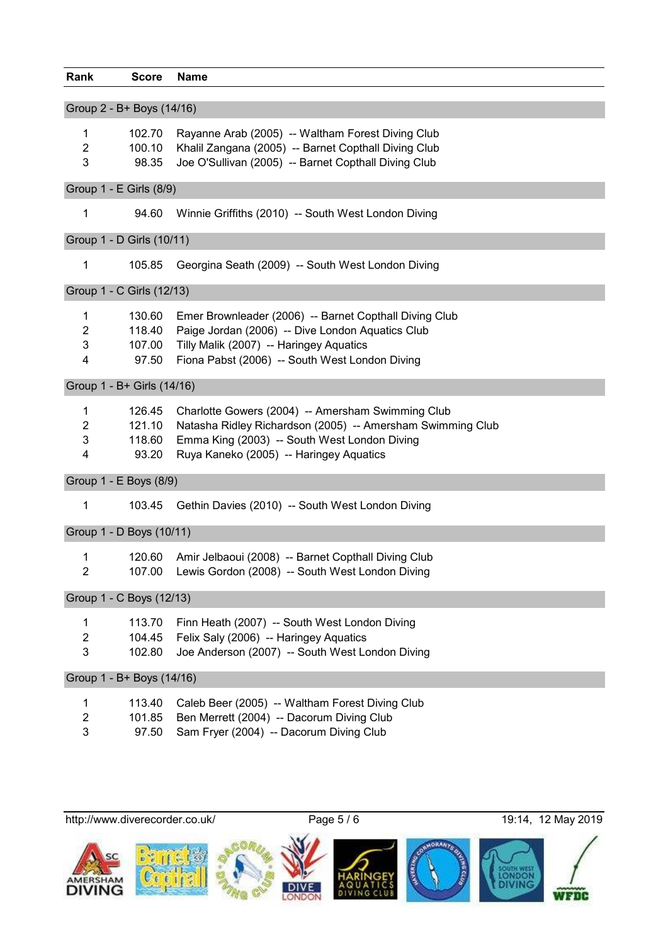| Rank                       | <b>Score</b> | <b>Name</b>                                                |
|----------------------------|--------------|------------------------------------------------------------|
| Group 2 - B+ Boys (14/16)  |              |                                                            |
|                            |              |                                                            |
| 1                          | 102.70       | Rayanne Arab (2005) -- Waltham Forest Diving Club          |
| $\overline{2}$             | 100.10       | Khalil Zangana (2005) -- Barnet Copthall Diving Club       |
| 3                          | 98.35        | Joe O'Sullivan (2005) -- Barnet Copthall Diving Club       |
|                            |              |                                                            |
| Group 1 - E Girls (8/9)    |              |                                                            |
| 1                          | 94.60        | Winnie Griffiths (2010) -- South West London Diving        |
| Group 1 - D Girls (10/11)  |              |                                                            |
|                            |              |                                                            |
| 1                          | 105.85       | Georgina Seath (2009) -- South West London Diving          |
| Group 1 - C Girls (12/13)  |              |                                                            |
|                            |              |                                                            |
| 1                          | 130.60       | Emer Brownleader (2006) -- Barnet Copthall Diving Club     |
| $\overline{2}$             | 118.40       | Paige Jordan (2006) -- Dive London Aquatics Club           |
| 3                          | 107.00       | Tilly Malik (2007) -- Haringey Aquatics                    |
| 4                          | 97.50        | Fiona Pabst (2006) -- South West London Diving             |
| Group 1 - B+ Girls (14/16) |              |                                                            |
| 1                          | 126.45       | Charlotte Gowers (2004) -- Amersham Swimming Club          |
| $\overline{2}$             | 121.10       | Natasha Ridley Richardson (2005) -- Amersham Swimming Club |
| 3                          | 118.60       | Emma King (2003) -- South West London Diving               |
| 4                          | 93.20        | Ruya Kaneko (2005) -- Haringey Aquatics                    |
|                            |              |                                                            |
| Group 1 - E Boys (8/9)     |              |                                                            |
| 1                          | 103.45       | Gethin Davies (2010) -- South West London Diving           |
|                            |              |                                                            |
| Group 1 - D Boys (10/11)   |              |                                                            |
| 1                          | 120.60       | Amir Jelbaoui (2008) -- Barnet Copthall Diving Club        |
| $\overline{2}$             |              | 107.00 Lewis Gordon (2008) -- South West London Diving     |
| Group 1 - C Boys (12/13)   |              |                                                            |
|                            |              |                                                            |
| 1                          | 113.70       | Finn Heath (2007) -- South West London Diving              |
| $\overline{2}$             | 104.45       | Felix Saly (2006) -- Haringey Aquatics                     |
| 3                          | 102.80       | Joe Anderson (2007) -- South West London Diving            |
| Group 1 - B+ Boys (14/16)  |              |                                                            |
|                            | 113.40       | Caleb Beer (2005) -- Waltham Forest Diving Club            |
| 1                          |              |                                                            |
| $\overline{2}$             | 101.85       | Ben Merrett (2004) -- Dacorum Diving Club                  |
| 3                          | 97.50        | Sam Fryer (2004) -- Dacorum Diving Club                    |
|                            |              |                                                            |

http://www.diverecorder.co.uk/ Page 5 / 6 19:14, 12 May 2019